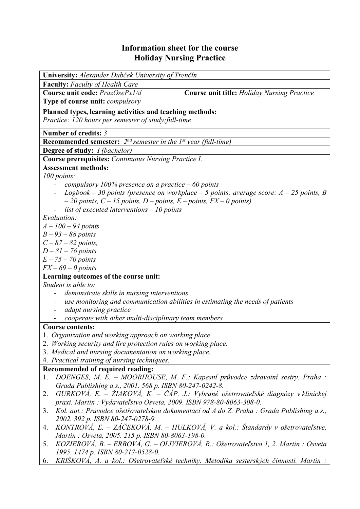## **Information sheet for the course Holiday Nursing Practice**

| University: Alexander Dubček University of Trenčín                                              |                                                                                          |  |  |  |  |
|-------------------------------------------------------------------------------------------------|------------------------------------------------------------------------------------------|--|--|--|--|
| <b>Faculty:</b> Faculty of Health Care                                                          |                                                                                          |  |  |  |  |
| Course unit code: PrazOsePx1/d                                                                  | <b>Course unit title:</b> Holiday Nursing Practice                                       |  |  |  |  |
| Type of course unit: compulsory                                                                 |                                                                                          |  |  |  |  |
|                                                                                                 |                                                                                          |  |  |  |  |
| Planned types, learning activities and teaching methods:                                        |                                                                                          |  |  |  |  |
| Practice: 120 hours per semester of study; full-time                                            |                                                                                          |  |  |  |  |
| Number of credits: 3                                                                            |                                                                                          |  |  |  |  |
| <b>Recommended semester:</b> $2^{nd}$ semester in the 1 <sup>st</sup> year (full-time)          |                                                                                          |  |  |  |  |
| Degree of study: I (bachelor)                                                                   |                                                                                          |  |  |  |  |
| Course prerequisites: Continuous Nursing Practice I.                                            |                                                                                          |  |  |  |  |
| <b>Assessment methods:</b>                                                                      |                                                                                          |  |  |  |  |
| 100 points:                                                                                     |                                                                                          |  |  |  |  |
| compulsory 100% presence on a practice $-60$ points                                             |                                                                                          |  |  |  |  |
|                                                                                                 | Logbook – 30 points (presence on workplace – 5 points; average score: $A - 25$ points, B |  |  |  |  |
| $-20$ points, $C - 15$ points, $D -$ points, $E -$ points, $FX - 0$ points)                     |                                                                                          |  |  |  |  |
| list of executed interventions $-10$ points                                                     |                                                                                          |  |  |  |  |
| Evaluation:                                                                                     |                                                                                          |  |  |  |  |
| $A - 100 - 94$ points                                                                           |                                                                                          |  |  |  |  |
| $B - 93 - 88$ points                                                                            |                                                                                          |  |  |  |  |
| $C - 87 - 82$ points,                                                                           |                                                                                          |  |  |  |  |
| $D-81-76$ points                                                                                |                                                                                          |  |  |  |  |
| $E - 75 - 70$ points                                                                            |                                                                                          |  |  |  |  |
| $FX - 69 - 0$ points                                                                            |                                                                                          |  |  |  |  |
| Learning outcomes of the course unit:                                                           |                                                                                          |  |  |  |  |
| Student is able to:                                                                             |                                                                                          |  |  |  |  |
| demonstrate skills in nursing interventions                                                     |                                                                                          |  |  |  |  |
| use monitoring and communication abilities in estimating the needs of patients                  |                                                                                          |  |  |  |  |
| adapt nursing practice                                                                          |                                                                                          |  |  |  |  |
| cooperate with other multi-disciplinary team members                                            |                                                                                          |  |  |  |  |
| <b>Course contents:</b>                                                                         |                                                                                          |  |  |  |  |
| 1. Organization and working approach on working place                                           |                                                                                          |  |  |  |  |
| 2. Working security and fire protection rules on working place.                                 |                                                                                          |  |  |  |  |
| 3. Medical and nursing documentation on working place.                                          |                                                                                          |  |  |  |  |
| 4. Practical training of nursing techniques.                                                    |                                                                                          |  |  |  |  |
| Recommended of required reading:                                                                |                                                                                          |  |  |  |  |
|                                                                                                 | DOENGES, M. E. - MOORHOUSE, M. F.: Kapesní průvodce zdravotní sestry. Praha :            |  |  |  |  |
| 1.<br>Grada Publishing a.s., 2001. 568 p. ISBN 80-247-0242-8.                                   |                                                                                          |  |  |  |  |
|                                                                                                 | $GURKOVA$ , E. – ŽIAKOVÁ, K. – ČÁP, J.: Vybrané ošetrovateľské diagnózy v klinickej      |  |  |  |  |
| 2.                                                                                              |                                                                                          |  |  |  |  |
| praxi. Martin: Vydavateľstvo Osveta, 2009. ISBN 978-80-8063-308-0.                              |                                                                                          |  |  |  |  |
| Kol. aut.: Průvodce ošetřovatelskou dokumentací od A do Z. Praha : Grada Publishing a.s.,<br>3. |                                                                                          |  |  |  |  |
| 2002. 392 p. ISBN 80-247-0278-9.                                                                |                                                                                          |  |  |  |  |
| 4.                                                                                              | KONTROVÁ, Ľ. – ZÁČEKOVÁ, M. – HULKOVÁ, V. a kol.: Štandardy v ošetrovateľstve.           |  |  |  |  |
| Martin: Osveta, 2005. 215 p. ISBN 80-8063-198-0.                                                |                                                                                          |  |  |  |  |
| 5.                                                                                              | KOZIEROVÁ, B. – ERBOVÁ, G. – OLIVIEROVÁ, R.: Ošetrovateľstvo 1, 2. Martin : Osveta       |  |  |  |  |
| 1995. 1474 p. ISBN 80-217-0528-0.                                                               |                                                                                          |  |  |  |  |
| 6.                                                                                              | KRIŠKOVÁ, A. a kol.: Ošetrovateľské techniky. Metodika sesterských činností. Martin :    |  |  |  |  |